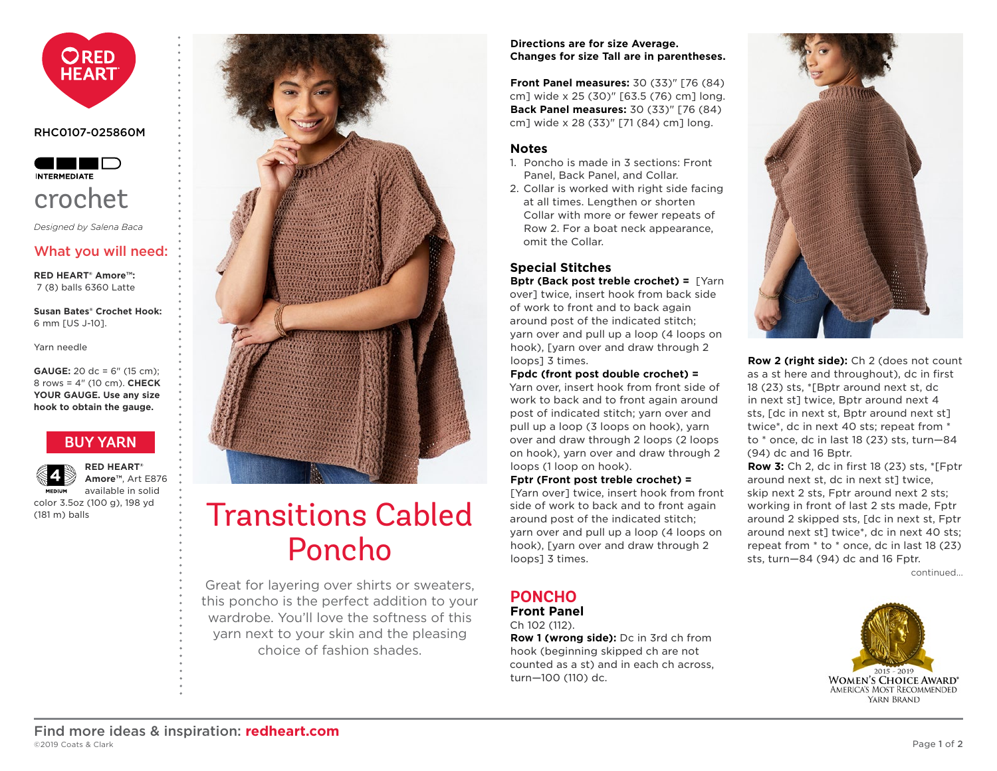<span id="page-0-0"></span>

#### RHC0107-025860M



*Designed by Salena Baca*

# What you will need:

**RED HEART® Amore™:** 7 (8) balls 6360 Latte

**Susan Bates® Crochet Hook:** 6 mm [US J-10].

Yarn needle

**GAUGE:** 20 dc = 6" (15 cm); 8 rows = 4" (10 cm). **CHECK YOUR GAUGE. Use any size hook to obtain the gauge.**

# **[BUY YARN](http://www.redheart.com/yarn/amore)**

**MEDIUM** 

**RED HEART® Amore™**, Art E876 available in solid color 3.5oz (100 g), 198 yd

(181 m) balls



# Transitions Cabled Poncho

Great for layering over shirts or sweaters, this poncho is the perfect addition to your wardrobe. You'll love the softness of this yarn next to your skin and the pleasing choice of fashion shades.

#### **Directions are for size Average. Changes for size Tall are in parentheses.**

**Front Panel measures:** 30 (33)" [76 (84) cm] wide x 25 (30)" [63.5 (76) cm] long. **Back Panel measures:** 30 (33)" [76 (84) cm] wide x 28 (33)" [71 (84) cm] long.

#### **Notes**

- 1. Poncho is made in 3 sections: Front Panel, Back Panel, and Collar.
- 2. Collar is worked with right side facing at all times. Lengthen or shorten Collar with more or fewer repeats of Row 2. For a boat neck appearance, omit the Collar.

## **Special Stitches**

**Bptr (Back post treble crochet) =** [Yarn over] twice, insert hook from back side of work to front and to back again around post of the indicated stitch; yarn over and pull up a loop (4 loops on hook), [yarn over and draw through 2 loops] 3 times.

**Fpdc (front post double crochet) =**

Yarn over, insert hook from front side of work to back and to front again around post of indicated stitch; yarn over and pull up a loop (3 loops on hook), yarn over and draw through 2 loops (2 loops on hook), yarn over and draw through 2 loops (1 loop on hook).

**Fptr (Front post treble crochet) =** [Yarn over] twice, insert hook from front side of work to back and to front again around post of the indicated stitch; yarn over and pull up a loop (4 loops on hook), [yarn over and draw through 2 loops] 3 times.

### **PONCHO Front Panel**

Ch 102 (112).

**Row 1 (wrong side):** Dc in 3rd ch from hook (beginning skipped ch are not counted as a st) and in each ch across, turn—100 (110) dc.



**Row 2 (right side):** Ch 2 (does not count as a st here and throughout), dc in first 18 (23) sts, \*[Bptr around next st, dc in next st] twice, Bptr around next 4 sts, [dc in next st, Bptr around next st] twice\*, dc in next 40 sts; repeat from \* to \* once, dc in last 18 (23) sts, turn—84 (94) dc and 16 Bptr.

**Row 3:** Ch 2, dc in first 18 (23) sts, \*[Fptr around next st, dc in next st] twice, skip next 2 sts, Fptr around next 2 sts; working in front of last 2 sts made, Fptr around 2 skipped sts, [dc in next st, Fptr around next st] twice\*, dc in next 40 sts; repeat from \* to \* once, dc in last 18 (23) sts, turn—84 (94) dc and 16 Fptr.

c[ontinued...](#page-1-0)